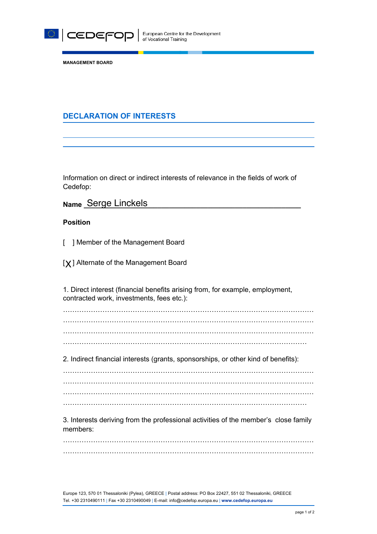

**MANAGEMENT BOARD**

## **DECLARATION OF INTERESTS**

Information on direct or indirect interests of relevance in the fields of work of Cedefop:

|                 | Name Serge Linckels |
|-----------------|---------------------|
| <b>Position</b> |                     |

- [ ] Member of the Management Board
- $[\boldsymbol{\mathsf{X}}]$  Alternate of the Management Board

1. Direct interest (financial benefits arising from, for example, employment, contracted work, investments, fees etc.):

……………………………………………………………………………………………… ………………………………………………………………………………………………  $\mathcal{L}^{\text{max}}_{\text{max}}$ …………………………………………………………………………………………… 2. Indirect financial interests (grants, sponsorships, or other kind of benefits): ……………………………………………………………………………………………… ……………………………………………………………………………………………… ……………………………………………………………………………………………… ……………………………………………………………………………………………

3. Interests deriving from the professional activities of the member's close family members:

……………………………………………………………………………………………… ………………………………………………………………………………………………

Europe 123, 570 01 Thessaloniki (Pylea), GREECE | Postal address: PO Box 22427, 551 02 Thessaloniki, GREECE Τel. +30 2310490111 | Fax +30 2310490049 | E-mail: info@cedefop.europa.eu | **www.cedefop.europa.eu**